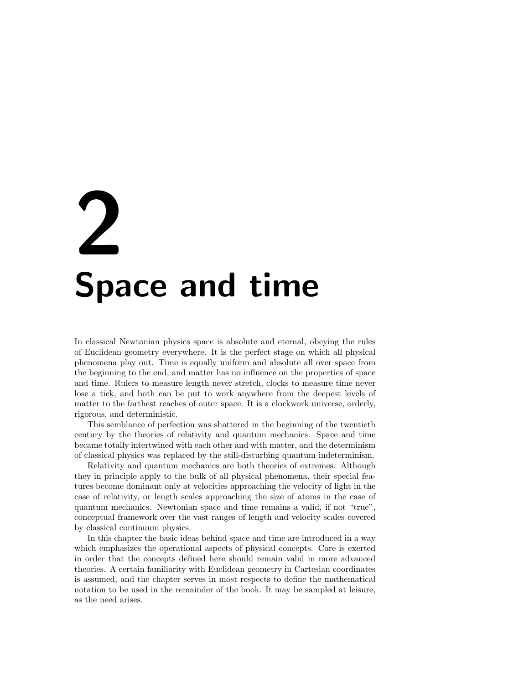# 2 Space and time

In classical Newtonian physics space is absolute and eternal, obeying the rules of Euclidean geometry everywhere. It is the perfect stage on which all physical phenomena play out. Time is equally uniform and absolute all over space from the beginning to the end, and matter has no influence on the properties of space and time. Rulers to measure length never stretch, clocks to measure time never lose a tick, and both can be put to work anywhere from the deepest levels of matter to the farthest reaches of outer space. It is a clockwork universe, orderly, rigorous, and deterministic.

This semblance of perfection was shattered in the beginning of the twentieth century by the theories of relativity and quantum mechanics. Space and time became totally intertwined with each other and with matter, and the determinism of classical physics was replaced by the still-disturbing quantum indeterminism.

Relativity and quantum mechanics are both theories of extremes. Although they in principle apply to the bulk of all physical phenomena, their special features become dominant only at velocities approaching the velocity of light in the case of relativity, or length scales approaching the size of atoms in the case of quantum mechanics. Newtonian space and time remains a valid, if not "true", conceptual framework over the vast ranges of length and velocity scales covered by classical continuum physics.

In this chapter the basic ideas behind space and time are introduced in a way which emphasizes the operational aspects of physical concepts. Care is exerted in order that the concepts defined here should remain valid in more advanced theories. A certain familiarity with Euclidean geometry in Cartesian coordinates is assumed, and the chapter serves in most respects to define the mathematical notation to be used in the remainder of the book. It may be sampled at leisure, as the need arises.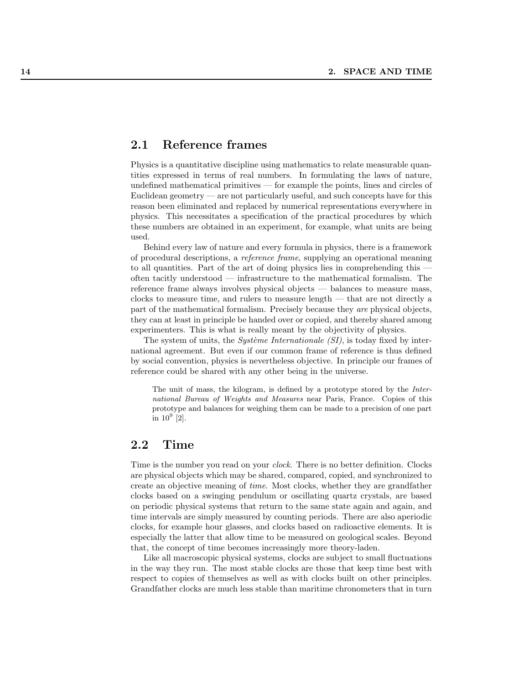# 2.1 Reference frames

Physics is a quantitative discipline using mathematics to relate measurable quantities expressed in terms of real numbers. In formulating the laws of nature, undefined mathematical primitives — for example the points, lines and circles of Euclidean geometry — are not particularly useful, and such concepts have for this reason been eliminated and replaced by numerical representations everywhere in physics. This necessitates a specification of the practical procedures by which these numbers are obtained in an experiment, for example, what units are being used.

Behind every law of nature and every formula in physics, there is a framework of procedural descriptions, a reference frame, supplying an operational meaning to all quantities. Part of the art of doing physics lies in comprehending this often tacitly understood — infrastructure to the mathematical formalism. The reference frame always involves physical objects — balances to measure mass, clocks to measure time, and rulers to measure length — that are not directly a part of the mathematical formalism. Precisely because they are physical objects, they can at least in principle be handed over or copied, and thereby shared among experimenters. This is what is really meant by the objectivity of physics.

The system of units, the *Système Internationale (SI)*, is today fixed by international agreement. But even if our common frame of reference is thus defined by social convention, physics is nevertheless objective. In principle our frames of reference could be shared with any other being in the universe.

The unit of mass, the kilogram, is defined by a prototype stored by the International Bureau of Weights and Measures near Paris, France. Copies of this prototype and balances for weighing them can be made to a precision of one part in  $10^9$  [2].

## 2.2 Time

Time is the number you read on your *clock*. There is no better definition. Clocks are physical objects which may be shared, compared, copied, and synchronized to create an objective meaning of time. Most clocks, whether they are grandfather clocks based on a swinging pendulum or oscillating quartz crystals, are based on periodic physical systems that return to the same state again and again, and time intervals are simply measured by counting periods. There are also aperiodic clocks, for example hour glasses, and clocks based on radioactive elements. It is especially the latter that allow time to be measured on geological scales. Beyond that, the concept of time becomes increasingly more theory-laden.

Like all macroscopic physical systems, clocks are subject to small fluctuations in the way they run. The most stable clocks are those that keep time best with respect to copies of themselves as well as with clocks built on other principles. Grandfather clocks are much less stable than maritime chronometers that in turn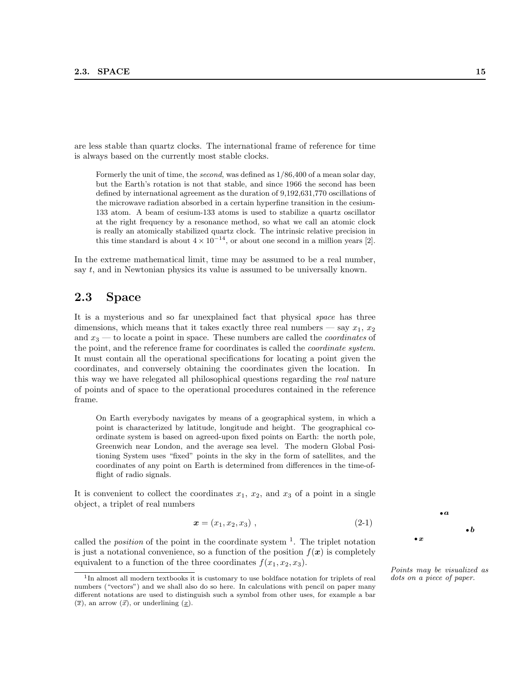are less stable than quartz clocks. The international frame of reference for time is always based on the currently most stable clocks.

Formerly the unit of time, the second, was defined as 1/86,400 of a mean solar day, but the Earth's rotation is not that stable, and since 1966 the second has been defined by international agreement as the duration of 9,192,631,770 oscillations of the microwave radiation absorbed in a certain hyperfine transition in the cesium-133 atom. A beam of cesium-133 atoms is used to stabilize a quartz oscillator at the right frequency by a resonance method, so what we call an atomic clock is really an atomically stabilized quartz clock. The intrinsic relative precision in this time standard is about  $4 \times 10^{-14}$ , or about one second in a million years [2].

In the extreme mathematical limit, time may be assumed to be a real number, say  $t$ , and in Newtonian physics its value is assumed to be universally known.

# 2.3 Space

It is a mysterious and so far unexplained fact that physical space has three dimensions, which means that it takes exactly three real numbers — say  $x_1, x_2$ and  $x_3$  — to locate a point in space. These numbers are called the *coordinates* of the point, and the reference frame for coordinates is called the *coordinate system*. It must contain all the operational specifications for locating a point given the coordinates, and conversely obtaining the coordinates given the location. In this way we have relegated all philosophical questions regarding the real nature of points and of space to the operational procedures contained in the reference frame.

On Earth everybody navigates by means of a geographical system, in which a point is characterized by latitude, longitude and height. The geographical coordinate system is based on agreed-upon fixed points on Earth: the north pole, Greenwich near London, and the average sea level. The modern Global Positioning System uses "fixed" points in the sky in the form of satellites, and the coordinates of any point on Earth is determined from differences in the time-offlight of radio signals.

It is convenient to collect the coordinates  $x_1, x_2$ , and  $x_3$  of a point in a single object, a triplet of real numbers

$$
\boldsymbol{x} = (x_1, x_2, x_3) \tag{2-1}
$$

called the *position* of the point in the coordinate system  $\frac{1}{1}$ . The triplet notation is just a notational convenience, so a function of the position  $f(x)$  is completely equivalent to a function of the three coordinates  $f(x_1, x_2, x_3)$ .

 $\bullet x$  $\bullet$   $\alpha$  $\bullet$ 

 $1$ In almost all modern textbooks it is customary to use boldface notation for triplets of real dots on a piece of paper. numbers ("vectors") and we shall also do so here. In calculations with pencil on paper many different notations are used to distinguish such a symbol from other uses, for example a bar  $(\overline{x})$ , an arrow  $(\overline{x})$ , or underlining  $(\underline{x})$ .

Points may be visualized as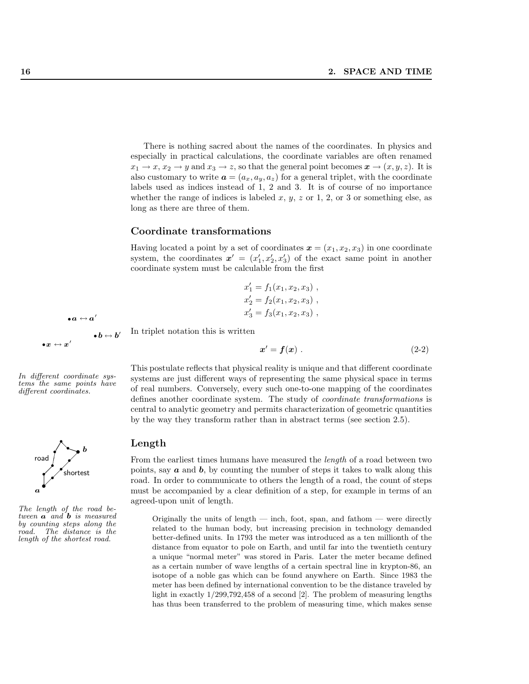There is nothing sacred about the names of the coordinates. In physics and especially in practical calculations, the coordinate variables are often renamed  $x_1 \rightarrow x, x_2 \rightarrow y$  and  $x_3 \rightarrow z$ , so that the general point becomes  $x \rightarrow (x, y, z)$ . It is also customary to write  $a = (a_x, a_y, a_z)$  for a general triplet, with the coordinate labels used as indices instead of 1, 2 and 3. It is of course of no importance whether the range of indices is labeled x, y, z or 1, 2, or 3 or something else, as long as there are three of them.

#### Coordinate transformations

Having located a point by a set of coordinates  $x = (x_1, x_2, x_3)$  in one coordinate system, the coordinates  $x' = (x'_1, x'_2, x'_3)$  of the exact same point in another coordinate system must be calculable from the first

$$
x'_1 = f_1(x_1, x_2, x_3) ,\n x'_2 = f_2(x_1, x_2, x_3) ,\n x'_3 = f_3(x_1, x_2, x_3) ,
$$

 $\bm{a} \leftrightarrow \bm{a}'$ 

In triplet notation this is written

$$
x' = f(x) . \tag{2-2}
$$

This postulate reflects that physical reality is unique and that different coordinate systems are just different ways of representing the same physical space in terms of real numbers. Conversely, every such one-to-one mapping of the coordinates defines another coordinate system. The study of coordinate transformations is central to analytic geometry and permits characterization of geometric quantities by the way they transform rather than in abstract terms (see section 2.5).

#### Length

From the earliest times humans have measured the *length* of a road between two points, say  $\boldsymbol{a}$  and  $\boldsymbol{b}$ , by counting the number of steps it takes to walk along this road. In order to communicate to others the length of a road, the count of steps must be accompanied by a clear definition of a step, for example in terms of an agreed-upon unit of length.

Originally the units of length  $\frac{m}{n}$  inch, foot, span, and fathom  $\frac{m}{n}$  were directly related to the human body, but increasing precision in technology demanded better-defined units. In 1793 the meter was introduced as a ten millionth of the distance from equator to pole on Earth, and until far into the twentieth century a unique "normal meter" was stored in Paris. Later the meter became defined as a certain number of wave lengths of a certain spectral line in krypton-86, an isotope of a noble gas which can be found anywhere on Earth. Since 1983 the meter has been defined by international convention to be the distance traveled by light in exactly 1/299,792,458 of a second [2]. The problem of measuring lengths has thus been transferred to the problem of measuring time, which makes sense

 $\bullet x \leftrightarrow x$  $\prime$  $\bm{b} \leftrightarrow \bm{b}'$ 

In different coordinate systems the same points have different coordinates.



The length of the road between  $\boldsymbol{a}$  and  $\boldsymbol{b}$  is measured by counting steps along the road. The distance is the length of the shortest road.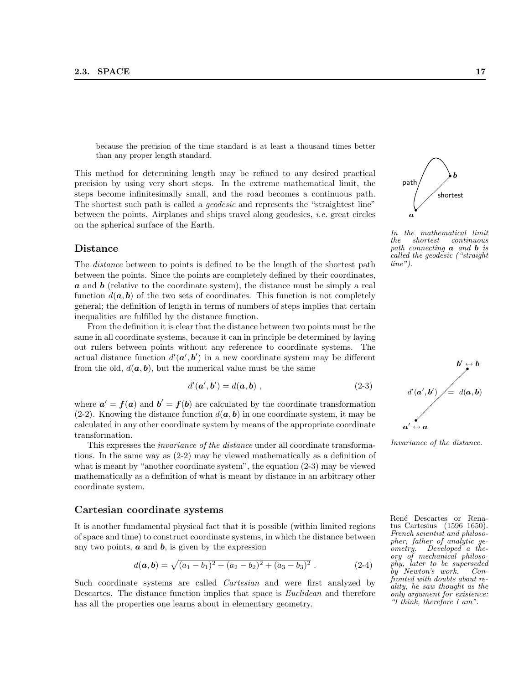because the precision of the time standard is at least a thousand times better than any proper length standard.

This method for determining length may be refined to any desired practical precision by using very short steps. In the extreme mathematical limit, the steps become infinitesimally small, and the road becomes a continuous path. The shortest such path is called a geodesic and represents the "straightest line" between the points. Airplanes and ships travel along geodesics, i.e. great circles on the spherical surface of the Earth.

## Distance

The distance between to points is defined to be the length of the shortest path between the points. Since the points are completely defined by their coordinates,  $\alpha$  and  $\dot{b}$  (relative to the coordinate system), the distance must be simply a real function  $d(a, b)$  of the two sets of coordinates. This function is not completely general; the definition of length in terms of numbers of steps implies that certain inequalities are fulfilled by the distance function.

From the definition it is clear that the distance between two points must be the same in all coordinate systems, because it can in principle be determined by laying out rulers between points without any reference to coordinate systems. The actual distance function  $d'(\mathbf{a}', \mathbf{b}')$  in a new coordinate system may be different from the old,  $d(a, b)$ , but the numerical value must be the same

$$
d'(\mathbf{a}', \mathbf{b}') = d(\mathbf{a}, \mathbf{b}) , \qquad (2-3)
$$

where  $a' = f(a)$  and  $b' = f(b)$  are calculated by the coordinate transformation (2-2). Knowing the distance function  $d(a, b)$  in one coordinate system, it may be calculated in any other coordinate system by means of the appropriate coordinate transformation.

This expresses the *invariance of the distance* under all coordinate transforma-<br>Invariance of the distance. tions. In the same way as (2-2) may be viewed mathematically as a definition of what is meant by "another coordinate system", the equation (2-3) may be viewed mathematically as a definition of what is meant by distance in an arbitrary other coordinate system.

## Cartesian coordinate systems

It is another fundamental physical fact that it is possible (within limited regions of space and time) to construct coordinate systems, in which the distance between any two points,  $\boldsymbol{a}$  and  $\boldsymbol{b}$ , is given by the expression

$$
d(\boldsymbol{a},\boldsymbol{b}) = \sqrt{(a_1 - b_1)^2 + (a_2 - b_2)^2 + (a_3 - b_3)^2}.
$$
 (2-4)

Such coordinate systems are called Cartesian and were first analyzed by Descartes. The distance function implies that space is *Euclidean* and therefore has all the properties one learns about in elementary geometry.

¡ ¡  $\sqrt{\text{shortest}}$ r a . In the mathematical limit<br>the shortest continuous the shortest continuous path connecting  $\boldsymbol{a}$  and  $\boldsymbol{b}$  is called the geodesic ("straight

¡

path

line").

r

b



René Descartes or Renatus Cartesius (1596–1650). French scientist and philosopher, father of analytic geometry. Developed a theory of mechanical philosophy, later to be superseded by Newton's work. Confronted with doubts about reality, he saw thought as the only argument for existence: "I think, therefore I am".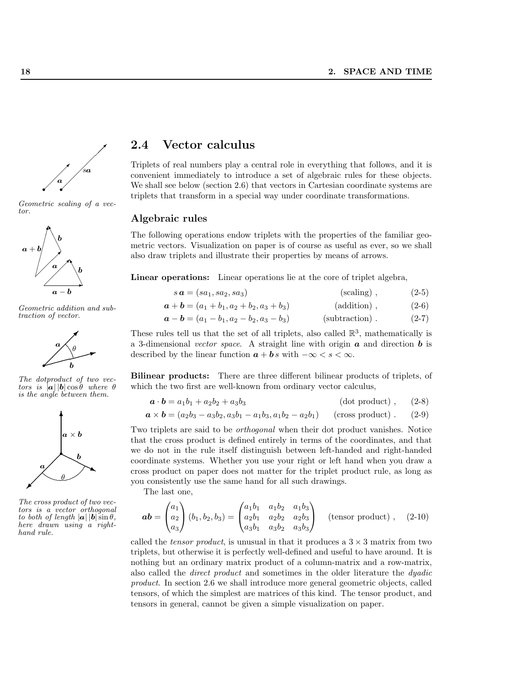

Geometric scaling of a vector.



Geometric addition and subtraction of vector.



The dotproduct of two vectors is  $|\mathbf{a}||\mathbf{b}|\cos\theta$  where  $\theta$ is the angle between them.



The cross product of two vectors is a vector orthogonal to both of length  $|a||b| \sin \theta$ , here drawn using a righthand rule.

# 2.4 Vector calculus

Triplets of real numbers play a central role in everything that follows, and it is convenient immediately to introduce a set of algebraic rules for these objects. We shall see below (section 2.6) that vectors in Cartesian coordinate systems are triplets that transform in a special way under coordinate transformations.

## Algebraic rules

The following operations endow triplets with the properties of the familiar geometric vectors. Visualization on paper is of course as useful as ever, so we shall also draw triplets and illustrate their properties by means of arrows.

Linear operations: Linear operations lie at the core of triplet algebra,

$$
s\mathbf{a} = (sa_1, sa_2, sa_3) \tag{2-5}
$$

$$
\mathbf{a} + \mathbf{b} = (a_1 + b_1, a_2 + b_2, a_3 + b_3) \tag{2-6}
$$

$$
\mathbf{a} - \mathbf{b} = (a_1 - b_1, a_2 - b_2, a_3 - b_3) \quad \text{(subtraction)} \tag{2-7}
$$

These rules tell us that the set of all triplets, also called  $\mathbb{R}^3$ , mathematically is a 3-dimensional vector space. A straight line with origin  $\boldsymbol{a}$  and direction  $\boldsymbol{b}$  is described by the linear function  $a + b s$  with  $-\infty < s < \infty$ .

Bilinear products: There are three different bilinear products of triplets, of which the two first are well-known from ordinary vector calculus,

$$
\mathbf{a} \cdot \mathbf{b} = a_1 b_1 + a_2 b_2 + a_3 b_3 \qquad \qquad \text{(dot product)} , \qquad (2-8)
$$

$$
\mathbf{a} \times \mathbf{b} = (a_2b_3 - a_3b_2, a_3b_1 - a_1b_3, a_1b_2 - a_2b_1) \quad \text{(cross product)} \tag{2-9}
$$

Two triplets are said to be orthogonal when their dot product vanishes. Notice that the cross product is defined entirely in terms of the coordinates, and that we do not in the rule itself distinguish between left-handed and right-handed coordinate systems. Whether you use your right or left hand when you draw a cross product on paper does not matter for the triplet product rule, as long as you consistently use the same hand for all such drawings.

The last one,

$$
ab = \begin{pmatrix} a_1 \\ a_2 \\ a_3 \end{pmatrix} (b_1, b_2, b_3) = \begin{pmatrix} a_1b_1 & a_1b_2 & a_1b_3 \\ a_2b_1 & a_2b_2 & a_2b_3 \\ a_3b_1 & a_3b_2 & a_3b_3 \end{pmatrix}
$$
 (tensor product), (2-10)

called the *tensor product*, is unusual in that it produces a  $3 \times 3$  matrix from two triplets, but otherwise it is perfectly well-defined and useful to have around. It is nothing but an ordinary matrix product of a column-matrix and a row-matrix, also called the direct product and sometimes in the older literature the dyadic product. In section 2.6 we shall introduce more general geometric objects, called tensors, of which the simplest are matrices of this kind. The tensor product, and tensors in general, cannot be given a simple visualization on paper.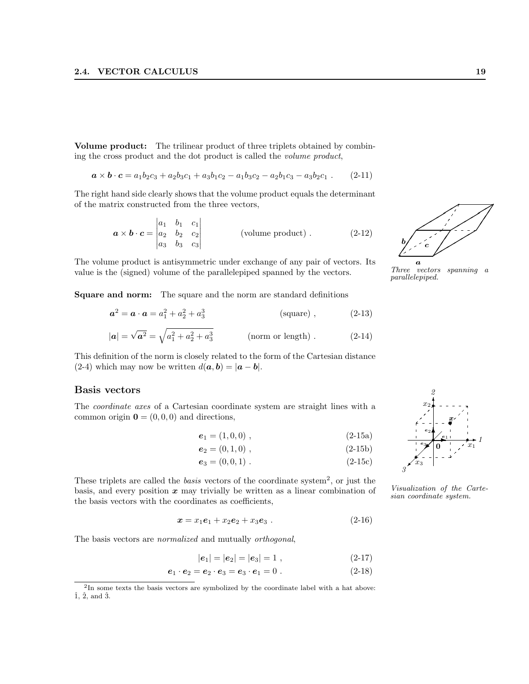Volume product: The trilinear product of three triplets obtained by combining the cross product and the dot product is called the volume product,

$$
\mathbf{a} \times \mathbf{b} \cdot \mathbf{c} = a_1b_2c_3 + a_2b_3c_1 + a_3b_1c_2 - a_1b_3c_2 - a_2b_1c_3 - a_3b_2c_1 . \tag{2-11}
$$

The right hand side clearly shows that the volume product equals the determinant of the matrix constructed from the three vectors,

$$
\mathbf{a} \times \mathbf{b} \cdot \mathbf{c} = \begin{vmatrix} a_1 & b_1 & c_1 \\ a_2 & b_2 & c_2 \\ a_3 & b_3 & c_3 \end{vmatrix} \qquad \qquad \text{(volume product)} \tag{2-12}
$$

The volume product is antisymmetric under exchange of any pair of vectors. Its value is the (signed) volume of the parallelepiped spanned by the vectors.

Square and norm: The square and the norm are standard definitions

$$
a^2 = a \cdot a = a_1^2 + a_2^2 + a_3^3 \qquad \qquad \text{(square)} , \qquad \qquad (2-13)
$$

$$
|\mathbf{a}| = \sqrt{\mathbf{a}^2} = \sqrt{a_1^2 + a_2^2 + a_3^3}
$$
 (norm or length). (2-14)

This definition of the norm is closely related to the form of the Cartesian distance (2-4) which may now be written  $d(\mathbf{a}, \mathbf{b}) = |\mathbf{a} - \mathbf{b}|$ .

## Basis vectors

The coordinate axes of a Cartesian coordinate system are straight lines with a common origin  $\mathbf{0} = (0, 0, 0)$  and directions,

$$
e_1 = (1, 0, 0) , \t(2-15a)
$$

$$
e_2 = (0, 1, 0) , \t(2-15b)
$$

$$
e_3 = (0, 0, 1) . \t(2-15c)
$$

These triplets are called the *basis* vectors of the coordinate system<sup>2</sup>, or just the basis, and every position  $x$  may trivially be written as a linear combination of  $\frac{Visualization}{s}$  of the C the basis vectors with the coordinates as coefficients,

$$
x = x_1 e_1 + x_2 e_2 + x_3 e_3 . \qquad (2-16)
$$

The basis vectors are normalized and mutually orthogonal,

$$
|e_1| = |e_2| = |e_3| = 1 , \t\t(2-17)
$$

$$
e_1 \cdot e_2 = e_2 \cdot e_3 = e_3 \cdot e_1 = 0. \qquad (2-18)
$$

✧✧✧✧✧✧ ✡ ✡ ✡ ✧✧ ✡ ✡  $\prime$ ✡ ✡ ✡ ✡ ✡ a b c

Three vectors spanning a parallelepiped.



3

.<br>⊭

 $\bar{x}_3$ 

 $\mathsf{L}$  .

r

 $\overline{x_2}$ 

 $e_2$ e3

2

 $\angle$ ¡ ¡ ¡✠

0

 $\left(\begin{smallmatrix}e\end{smallmatrix}\right)$ ✻ ✠r

e1

 $\ddot{\mathbf{r}}$ 

✲

.<br>F  $\overline{x_1}$ 

1



<sup>&</sup>lt;sup>2</sup>In some texts the basis vectors are symbolized by the coordinate label with a hat above:  $\hat{1}$ ,  $\hat{2}$ , and  $\hat{3}$ .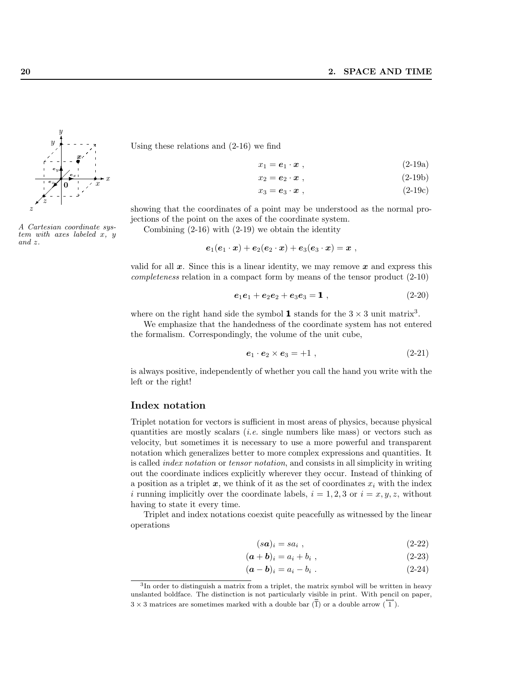

A Cartesian coordinate system with axes labeled  $x, y$ and z.

Using these relations and (2-16) we find

$$
x_1 = \mathbf{e}_1 \cdot \mathbf{x} \tag{2-19a}
$$

$$
x_2 = \mathbf{e}_2 \cdot \mathbf{x} \tag{2-19b}
$$

$$
x_3 = \mathbf{e}_3 \cdot \mathbf{x} \tag{2-19c}
$$

showing that the coordinates of a point may be understood as the normal projections of the point on the axes of the coordinate system.

Combining (2-16) with (2-19) we obtain the identity

$$
\bm{e}_1(\bm{e}_1\cdot \bm{x})+\bm{e}_2(\bm{e}_2\cdot \bm{x})+\bm{e}_3(\bm{e}_3\cdot \bm{x})=\bm{x} \; ,
$$

valid for all  $x$ . Since this is a linear identity, we may remove  $x$  and express this completeness relation in a compact form by means of the tensor product (2-10)

$$
e_1e_1 + e_2e_2 + e_3e_3 = \mathbf{1} \tag{2-20}
$$

where on the right hand side the symbol **1** stands for the  $3 \times 3$  unit matrix<sup>3</sup>.

We emphasize that the handedness of the coordinate system has not entered the formalism. Correspondingly, the volume of the unit cube,

$$
e_1 \cdot e_2 \times e_3 = +1 \tag{2-21}
$$

is always positive, independently of whether you call the hand you write with the left or the right!

#### Index notation

Triplet notation for vectors is sufficient in most areas of physics, because physical quantities are mostly scalars (i.e. single numbers like mass) or vectors such as velocity, but sometimes it is necessary to use a more powerful and transparent notation which generalizes better to more complex expressions and quantities. It is called index notation or tensor notation, and consists in all simplicity in writing out the coordinate indices explicitly wherever they occur. Instead of thinking of a position as a triplet  $x$ , we think of it as the set of coordinates  $x_i$  with the index i running implicitly over the coordinate labels,  $i = 1, 2, 3$  or  $i = x, y, z$ , without having to state it every time.

Triplet and index notations coexist quite peacefully as witnessed by the linear operations

$$
(s\mathbf{a})_i = s a_i , \qquad (2-22)
$$

$$
(\mathbf{a} + \mathbf{b})_i = a_i + b_i \tag{2-23}
$$

$$
(\mathbf{a} - \mathbf{b})_i = a_i - b_i \tag{2-24}
$$

<sup>&</sup>lt;sup>3</sup>In order to distinguish a matrix from a triplet, the matrix symbol will be written in heavy unslanted boldface. The distinction is not particularly visible in print. With pencil on paper,  $3 \times 3$  matrices are sometimes marked with a double bar  $(\overline{1})$  or a double arrow  $(\overleftrightarrow{1})$ .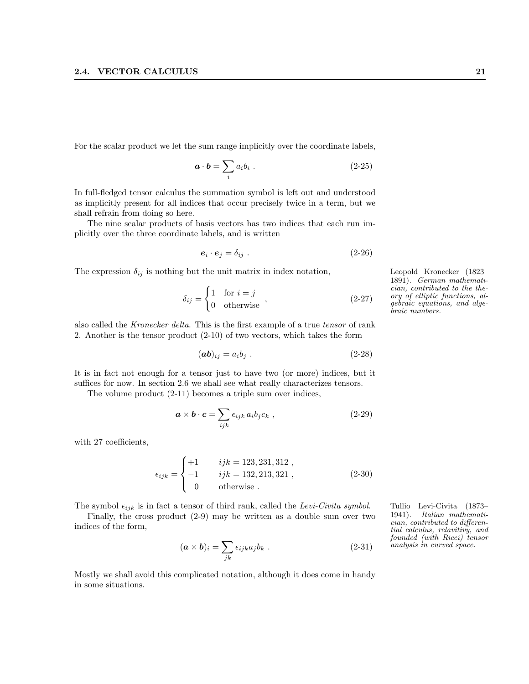For the scalar product we let the sum range implicitly over the coordinate labels,

$$
\mathbf{a} \cdot \mathbf{b} = \sum_{i} a_i b_i \tag{2-25}
$$

In full-fledged tensor calculus the summation symbol is left out and understood as implicitly present for all indices that occur precisely twice in a term, but we shall refrain from doing so here.

The nine scalar products of basis vectors has two indices that each run implicitly over the three coordinate labels, and is written

$$
e_i \cdot e_j = \delta_{ij} \tag{2-26}
$$

The expression  $\delta_{ij}$  is nothing but the unit matrix in index notation, Leopold Kronecker (1823–

$$
\delta_{ij} = \begin{cases} 1 & \text{for } i = j \\ 0 & \text{otherwise} \end{cases}, \tag{2-27}
$$

also called the Kronecker delta. This is the first example of a true tensor of rank 2. Another is the tensor product (2-10) of two vectors, which takes the form

$$
(\boldsymbol{ab})_{ij} = a_i b_j \tag{2-28}
$$

It is in fact not enough for a tensor just to have two (or more) indices, but it suffices for now. In section 2.6 we shall see what really characterizes tensors.

The volume product (2-11) becomes a triple sum over indices,

$$
\mathbf{a} \times \mathbf{b} \cdot \mathbf{c} = \sum_{ijk} \epsilon_{ijk} a_i b_j c_k , \qquad (2-29)
$$

with 27 coefficients,

$$
\epsilon_{ijk} = \begin{cases}\n+1 & \text{if } i = 123, 231, 312, \\
-1 & \text{if } i = 132, 213, 321, \\
0 & \text{otherwise}\n\end{cases} \tag{2-30}
$$

The symbol  $\epsilon_{ijk}$  is in fact a tensor of third rank, called the Levi-Civita symbol. Tullio Levi-Civita (1873–

Finally, the cross product (2-9) may be written as a double sum over two indices of the form,

$$
(\mathbf{a} \times \mathbf{b})_i = \sum_{jk} \epsilon_{ijk} a_j b_k \tag{2-31}
$$

Mostly we shall avoid this complicated notation, although it does come in handy in some situations.

1891). German mathematician, contributed to the theory of elliptic functions, algebraic equations, and algebraic numbers.

1941). Italian mathematician, contributed to differential calculus, relavitivy, and founded (with Ricci) tensor analysis in curved space.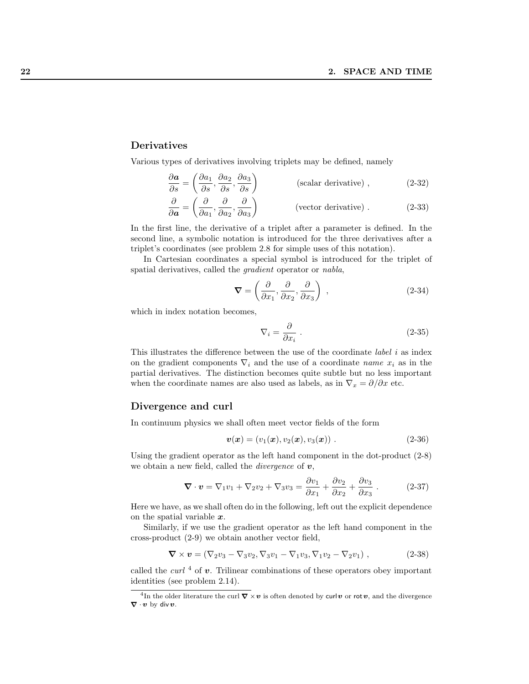## Derivatives

Various types of derivatives involving triplets may be defined, namely

$$
\frac{\partial \mathbf{a}}{\partial s} = \left( \frac{\partial a_1}{\partial s}, \frac{\partial a_2}{\partial s}, \frac{\partial a_3}{\partial s} \right) \qquad \text{(scalar derivative)}, \qquad (2-32)
$$
  

$$
\frac{\partial}{\partial \mathbf{a}} = \left( \frac{\partial}{\partial a_1}, \frac{\partial}{\partial a_2}, \frac{\partial}{\partial a_3} \right) \qquad \text{(vector derivative)}.
$$
 (2-33)

In the first line, the derivative of a triplet after a parameter is defined. In the second line, a symbolic notation is introduced for the three derivatives after a triplet's coordinates (see problem 2.8 for simple uses of this notation).

In Cartesian coordinates a special symbol is introduced for the triplet of spatial derivatives, called the gradient operator or nabla,

$$
\nabla = \left(\frac{\partial}{\partial x_1}, \frac{\partial}{\partial x_2}, \frac{\partial}{\partial x_3}\right) ,\qquad (2-34)
$$

which in index notation becomes,

$$
\nabla_i = \frac{\partial}{\partial x_i} \tag{2-35}
$$

This illustrates the difference between the use of the coordinate label i as index on the gradient components  $\nabla_i$  and the use of a coordinate *name*  $x_i$  as in the partial derivatives. The distinction becomes quite subtle but no less important when the coordinate names are also used as labels, as in  $\nabla_x = \partial/\partial x$  etc.

#### Divergence and curl

In continuum physics we shall often meet vector fields of the form

$$
\mathbf{v}(\mathbf{x}) = (v_1(\mathbf{x}), v_2(\mathbf{x}), v_3(\mathbf{x})). \tag{2-36}
$$

Using the gradient operator as the left hand component in the dot-product (2-8) we obtain a new field, called the *divergence* of  $v$ ,

$$
\nabla \cdot \mathbf{v} = \nabla_1 v_1 + \nabla_2 v_2 + \nabla_3 v_3 = \frac{\partial v_1}{\partial x_1} + \frac{\partial v_2}{\partial x_2} + \frac{\partial v_3}{\partial x_3} . \tag{2-37}
$$

Here we have, as we shall often do in the following, left out the explicit dependence on the spatial variable  $x$ .

Similarly, if we use the gradient operator as the left hand component in the cross-product (2-9) we obtain another vector field,

$$
\nabla \times \boldsymbol{v} = (\nabla_2 v_3 - \nabla_3 v_2, \nabla_3 v_1 - \nabla_1 v_3, \nabla_1 v_2 - \nabla_2 v_1), \qquad (2-38)
$$

called the *curl*  $4$  of **v**. Trilinear combinations of these operators obey important identities (see problem 2.14).

<sup>&</sup>lt;sup>4</sup>In the older literature the curl  $\nabla \times v$  is often denoted by curl v or rot v, and the divergence  $\nabla \cdot v$  by div  $v$ .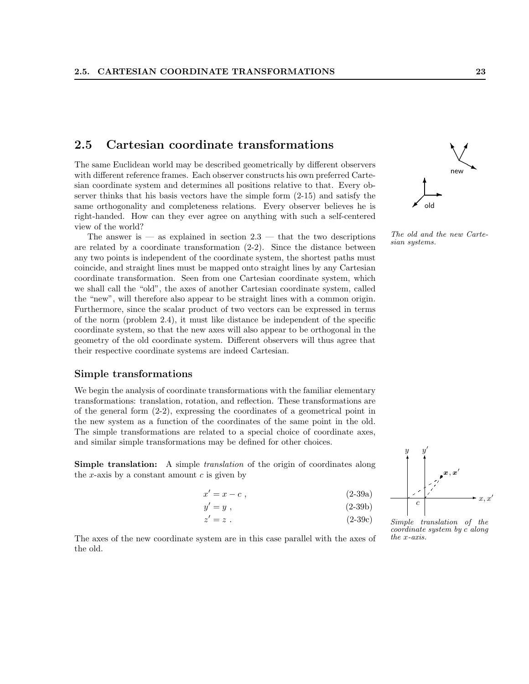# 2.5 Cartesian coordinate transformations

The same Euclidean world may be described geometrically by different observers with different reference frames. Each observer constructs his own preferred Cartesian coordinate system and determines all positions relative to that. Every observer thinks that his basis vectors have the simple form (2-15) and satisfy the same orthogonality and completeness relations. Every observer believes he is right-handed. How can they ever agree on anything with such a self-centered view of the world?

The answer is — as explained in section  $2.3$  — that the two descriptions are related by a coordinate transformation (2-2). Since the distance between any two points is independent of the coordinate system, the shortest paths must coincide, and straight lines must be mapped onto straight lines by any Cartesian coordinate transformation. Seen from one Cartesian coordinate system, which we shall call the "old", the axes of another Cartesian coordinate system, called the "new", will therefore also appear to be straight lines with a common origin. Furthermore, since the scalar product of two vectors can be expressed in terms of the norm (problem 2.4), it must like distance be independent of the specific coordinate system, so that the new axes will also appear to be orthogonal in the geometry of the old coordinate system. Different observers will thus agree that their respective coordinate systems are indeed Cartesian.

## Simple transformations

We begin the analysis of coordinate transformations with the familiar elementary transformations: translation, rotation, and reflection. These transformations are of the general form (2-2), expressing the coordinates of a geometrical point in the new system as a function of the coordinates of the same point in the old. The simple transformations are related to a special choice of coordinate axes, and similar simple transformations may be defined for other choices.

Simple translation: A simple *translation* of the origin of coordinates along the x-axis by a constant amount  $c$  is given by

$$
x' = x - c \tag{2-39a}
$$

$$
y' = y \tag{2-39b}
$$

$$
z' = z \tag{2-39c}
$$

The axes of the new coordinate system are in this case parallel with the axes of the old.



The old and the new Carte-<br>sian systems.



Simple translation of the coordinate system by c along the x-axis.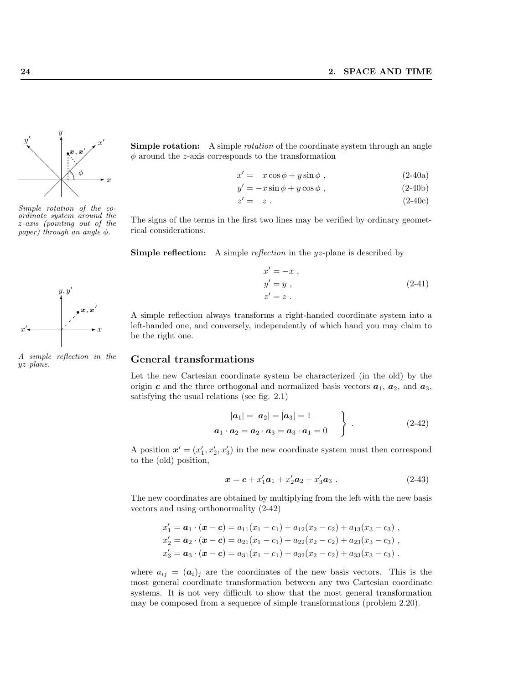

Simple rotation of the coordinate system around the z-axis (pointing out of the paper) through an angle  $\phi$ . rical considerations.



A simple reflection in the yz-plane.

Simple rotation: A simple *rotation* of the coordinate system through an angle  $\phi$  around the *z*-axis corresponds to the transformation

$$
x' = x \cos \phi + y \sin \phi , \qquad (2-40a)
$$

$$
y' = -x\sin\phi + y\cos\phi , \qquad (2-40b)
$$

$$
z' = z \tag{2-40c}
$$

The signs of the terms in the first two lines may be verified by ordinary geomet-

Simple reflection: A simple *reflection* in the yz-plane is described by

$$
x' = -x ,\n y' = y ,\n z' = z .
$$
\n(2-41)

A simple reflection always transforms a right-handed coordinate system into a left-handed one, and conversely, independently of which hand you may claim to be the right one.

## General transformations

Let the new Cartesian coordinate system be characterized (in the old) by the origin c and the three orthogonal and normalized basis vectors  $a_1, a_2$ , and  $a_3$ , satisfying the usual relations (see fig. 2.1)

$$
|a_1| = |a_2| = |a_3| = 1
$$
  
\n
$$
a_1 \cdot a_2 = a_2 \cdot a_3 = a_3 \cdot a_1 = 0
$$
 (2-42)

A position  $x' = (x'_1, x'_2, x'_3)$  in the new coordinate system must then correspond to the (old) position,

$$
x = c + x'_1 a_1 + x'_2 a_2 + x'_3 a_3 . \qquad (2-43)
$$

The new coordinates are obtained by multiplying from the left with the new basis vectors and using orthonormality (2-42)

$$
x'_1 = a_1 \cdot (\boldsymbol{x} - \boldsymbol{c}) = a_{11}(x_1 - c_1) + a_{12}(x_2 - c_2) + a_{13}(x_3 - c_3) ,
$$
  
\n
$$
x'_2 = a_2 \cdot (\boldsymbol{x} - \boldsymbol{c}) = a_{21}(x_1 - c_1) + a_{22}(x_2 - c_2) + a_{23}(x_3 - c_3) ,
$$
  
\n
$$
x'_3 = a_3 \cdot (\boldsymbol{x} - \boldsymbol{c}) = a_{31}(x_1 - c_1) + a_{32}(x_2 - c_2) + a_{33}(x_3 - c_3) .
$$

where  $a_{ij} = (a_i)_j$  are the coordinates of the new basis vectors. This is the most general coordinate transformation between any two Cartesian coordinate systems. It is not very difficult to show that the most general transformation may be composed from a sequence of simple transformations (problem 2.20).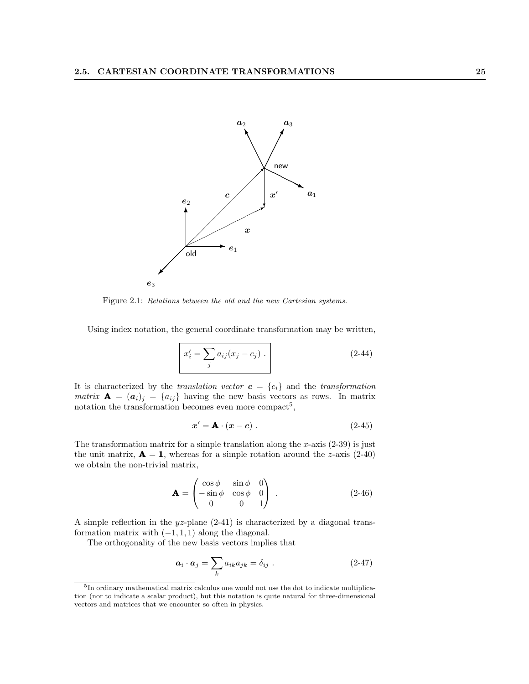

Figure 2.1: Relations between the old and the new Cartesian systems.

Using index notation, the general coordinate transformation may be written,

$$
x'_{i} = \sum_{j} a_{ij} (x_j - c_j) .
$$
 (2-44)

It is characterized by the translation vector  $\mathbf{c} = \{c_i\}$  and the transformation matrix  $\mathbf{A} = (a_i)_j = \{a_{ij}\}\$  having the new basis vectors as rows. In matrix notation the transformation becomes even more compact<sup>5</sup>,

$$
x' = \mathbf{A} \cdot (x - c) \tag{2-45}
$$

The transformation matrix for a simple translation along the  $x$ -axis  $(2-39)$  is just the unit matrix,  $\mathbf{A} = \mathbf{1}$ , whereas for a simple rotation around the *z*-axis (2-40) we obtain the non-trivial matrix,

$$
\mathbf{A} = \begin{pmatrix} \cos \phi & \sin \phi & 0 \\ -\sin \phi & \cos \phi & 0 \\ 0 & 0 & 1 \end{pmatrix} .
$$
 (2-46)

A simple reflection in the  $yz$ -plane  $(2-41)$  is characterized by a diagonal transformation matrix with  $(-1, 1, 1)$  along the diagonal.

The orthogonality of the new basis vectors implies that

$$
\boldsymbol{a}_i \cdot \boldsymbol{a}_j = \sum_k a_{ik} a_{jk} = \delta_{ij} . \qquad (2-47)
$$

<sup>&</sup>lt;sup>5</sup>In ordinary mathematical matrix calculus one would not use the dot to indicate multiplication (nor to indicate a scalar product), but this notation is quite natural for three-dimensional vectors and matrices that we encounter so often in physics.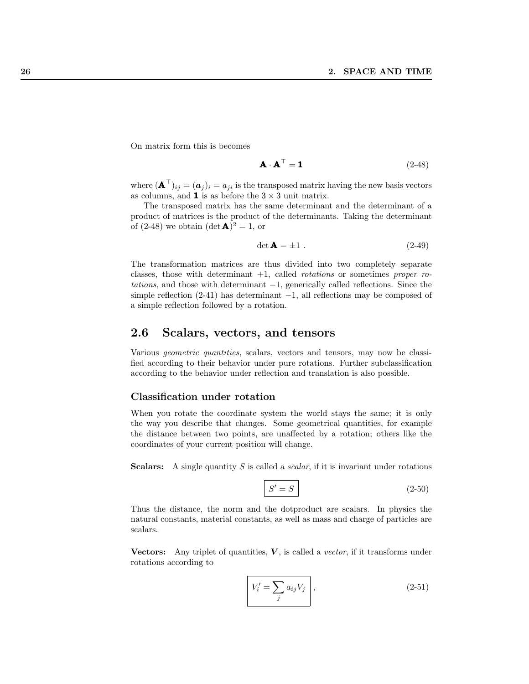On matrix form this is becomes

$$
\mathbf{A} \cdot \mathbf{A}^{\top} = \mathbf{1} \tag{2-48}
$$

where  $(\mathbf{A}^{\top})_{ij} = (a_{j})_{i} = a_{ji}$  is the transposed matrix having the new basis vectors as columns, and **1** is as before the  $3 \times 3$  unit matrix.

The transposed matrix has the same determinant and the determinant of a product of matrices is the product of the determinants. Taking the determinant of (2-48) we obtain  $(\det \mathbf{A})^2 = 1$ , or

$$
\det \mathbf{A} = \pm 1 \tag{2-49}
$$

The transformation matrices are thus divided into two completely separate classes, those with determinant  $+1$ , called *rotations* or sometimes *proper ro*tations, and those with determinant  $-1$ , generically called reflections. Since the simple reflection (2-41) has determinant  $-1$ , all reflections may be composed of a simple reflection followed by a rotation.

## 2.6 Scalars, vectors, and tensors

Various geometric quantities, scalars, vectors and tensors, may now be classified according to their behavior under pure rotations. Further subclassification according to the behavior under reflection and translation is also possible.

#### Classification under rotation

When you rotate the coordinate system the world stays the same; it is only the way you describe that changes. Some geometrical quantities, for example the distance between two points, are unaffected by a rotation; others like the coordinates of your current position will change.

**Scalars:** A single quantity S is called a *scalar*, if it is invariant under rotations

$$
S'=S\tag{2-50}
$$

Thus the distance, the norm and the dotproduct are scalars. In physics the natural constants, material constants, as well as mass and charge of particles are scalars.

Vectors: Any triplet of quantities,  $V$ , is called a *vector*, if it transforms under rotations according to

$$
V_i' = \sum_j a_{ij} V_j \qquad (2-51)
$$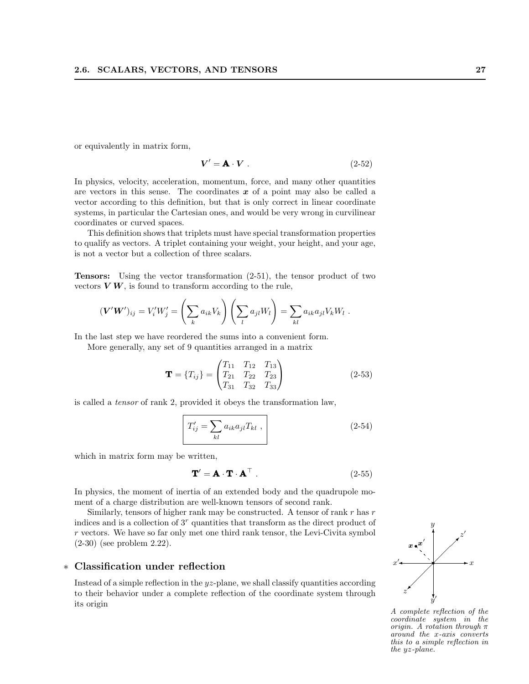or equivalently in matrix form,

$$
V' = \mathbf{A} \cdot V \tag{2-52}
$$

In physics, velocity, acceleration, momentum, force, and many other quantities are vectors in this sense. The coordinates  $x$  of a point may also be called a vector according to this definition, but that is only correct in linear coordinate systems, in particular the Cartesian ones, and would be very wrong in curvilinear coordinates or curved spaces.

This definition shows that triplets must have special transformation properties to qualify as vectors. A triplet containing your weight, your height, and your age, is not a vector but a collection of three scalars.

Tensors: Using the vector transformation (2-51), the tensor product of two vectors  $V W$ , is found to transform according to the rule,

$$
(\mathbf{V}'\mathbf{W}')_{ij} = V'_i W'_j = \left(\sum_k a_{ik} V_k\right) \left(\sum_l a_{jl} W_l\right) = \sum_{kl} a_{ik} a_{jl} V_k W_l.
$$

In the last step we have reordered the sums into a convenient form.

More generally, any set of 9 quantities arranged in a matrix

$$
\mathbf{T} = \{T_{ij}\} = \begin{pmatrix} T_{11} & T_{12} & T_{13} \\ T_{21} & T_{22} & T_{23} \\ T_{31} & T_{32} & T_{33} \end{pmatrix}
$$
 (2-53)

is called a tensor of rank 2, provided it obeys the transformation law,

$$
T'_{ij} = \sum_{kl} a_{ik} a_{jl} T_{kl} , \qquad (2-54)
$$

which in matrix form may be written,

$$
\mathbf{T}' = \mathbf{A} \cdot \mathbf{T} \cdot \mathbf{A}^{\top} . \tag{2-55}
$$

In physics, the moment of inertia of an extended body and the quadrupole moment of a charge distribution are well-known tensors of second rank.

Similarly, tensors of higher rank may be constructed. A tensor of rank  $r$  has  $r$ indices and is a collection of  $3<sup>r</sup>$  quantities that transform as the direct product of r vectors. We have so far only met one third rank tensor, the Levi-Civita symbol (2-30) (see problem 2.22).

## ∗ Classification under reflection

Instead of a simple reflection in the  $yz$ -plane, we shall classify quantities according to their behavior under a complete reflection of the coordinate system through its origin



A complete reflection of the coordinate system in the origin. A rotation through  $\pi$ around the x-axis converts this to a simple reflection in the yz-plane.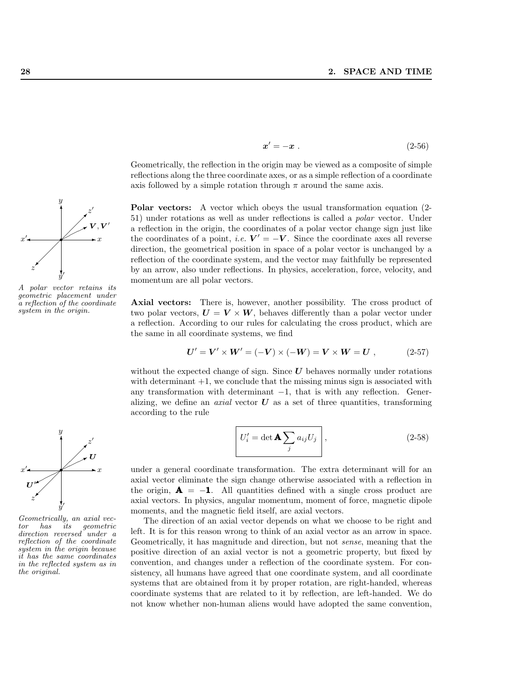$$
x' = -x \tag{2-56}
$$

Geometrically, the reflection in the origin may be viewed as a composite of simple reflections along the three coordinate axes, or as a simple reflection of a coordinate axis followed by a simple rotation through  $\pi$  around the same axis.

Polar vectors: A vector which obeys the usual transformation equation (2- 51) under rotations as well as under reflections is called a polar vector. Under a reflection in the origin, the coordinates of a polar vector change sign just like the coordinates of a point, *i.e.*  $V' = -V$ . Since the coordinate axes all reverse direction, the geometrical position in space of a polar vector is unchanged by a reflection of the coordinate system, and the vector may faithfully be represented by an arrow, also under reflections. In physics, acceleration, force, velocity, and momentum are all polar vectors.

Axial vectors: There is, however, another possibility. The cross product of two polar vectors,  $U = V \times W$ , behaves differently than a polar vector under a reflection. According to our rules for calculating the cross product, which are the same in all coordinate systems, we find

$$
U' = V' \times W' = (-V) \times (-W) = V \times W = U , \qquad (2-57)
$$

without the expected change of sign. Since  $U$  behaves normally under rotations with determinant  $+1$ , we conclude that the missing minus sign is associated with any transformation with determinant  $-1$ , that is with any reflection. Generalizing, we define an *axial* vector  $U$  as a set of three quantities, transforming according to the rule

$$
U'_{i} = \det \mathbf{A} \sum_{j} a_{ij} U_{j} \qquad (2-58)
$$

under a general coordinate transformation. The extra determinant will for an axial vector eliminate the sign change otherwise associated with a reflection in the origin,  $\mathbf{A} = -\mathbf{1}$ . All quantities defined with a single cross product are axial vectors. In physics, angular momentum, moment of force, magnetic dipole moments, and the magnetic field itself, are axial vectors.

The direction of an axial vector depends on what we choose to be right and left. It is for this reason wrong to think of an axial vector as an arrow in space. Geometrically, it has magnitude and direction, but not sense, meaning that the positive direction of an axial vector is not a geometric property, but fixed by convention, and changes under a reflection of the coordinate system. For consistency, all humans have agreed that one coordinate system, and all coordinate systems that are obtained from it by proper rotation, are right-handed, whereas coordinate systems that are related to it by reflection, are left-handed. We do not know whether non-human aliens would have adopted the same convention,



A polar vector retains its geometric placement under a reflection of the coordinate system in the origin.



Geometrically, an axial vector has its geometric direction reversed under a reflection of the coordinate system in the origin because it has the same coordinates in the reflected system as in the original.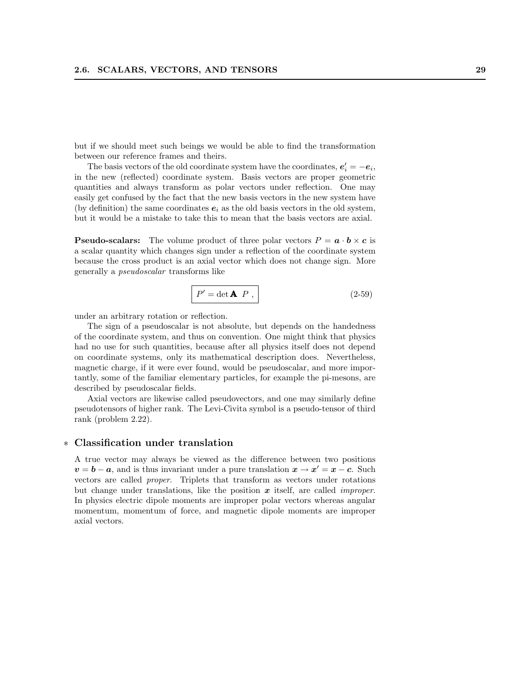but if we should meet such beings we would be able to find the transformation between our reference frames and theirs.

The basis vectors of the old coordinate system have the coordinates,  $e'_i = -e_i$ , in the new (reflected) coordinate system. Basis vectors are proper geometric quantities and always transform as polar vectors under reflection. One may easily get confused by the fact that the new basis vectors in the new system have (by definition) the same coordinates  $e_i$  as the old basis vectors in the old system, but it would be a mistake to take this to mean that the basis vectors are axial.

**Pseudo-scalars:** The volume product of three polar vectors  $P = a \cdot b \times c$  is a scalar quantity which changes sign under a reflection of the coordinate system because the cross product is an axial vector which does not change sign. More generally a pseudoscalar transforms like

$$
P' = \det \mathbf{A} \ P \ , \tag{2-59}
$$

under an arbitrary rotation or reflection.

The sign of a pseudoscalar is not absolute, but depends on the handedness of the coordinate system, and thus on convention. One might think that physics had no use for such quantities, because after all physics itself does not depend on coordinate systems, only its mathematical description does. Nevertheless, magnetic charge, if it were ever found, would be pseudoscalar, and more importantly, some of the familiar elementary particles, for example the pi-mesons, are described by pseudoscalar fields.

Axial vectors are likewise called pseudovectors, and one may similarly define pseudotensors of higher rank. The Levi-Civita symbol is a pseudo-tensor of third rank (problem 2.22).

## ∗ Classification under translation

A true vector may always be viewed as the difference between two positions  $v = b - a$ , and is thus invariant under a pure translation  $x \to x' = x - c$ . Such vectors are called proper. Triplets that transform as vectors under rotations but change under translations, like the position  $x$  itself, are called *improper*. In physics electric dipole moments are improper polar vectors whereas angular momentum, momentum of force, and magnetic dipole moments are improper axial vectors.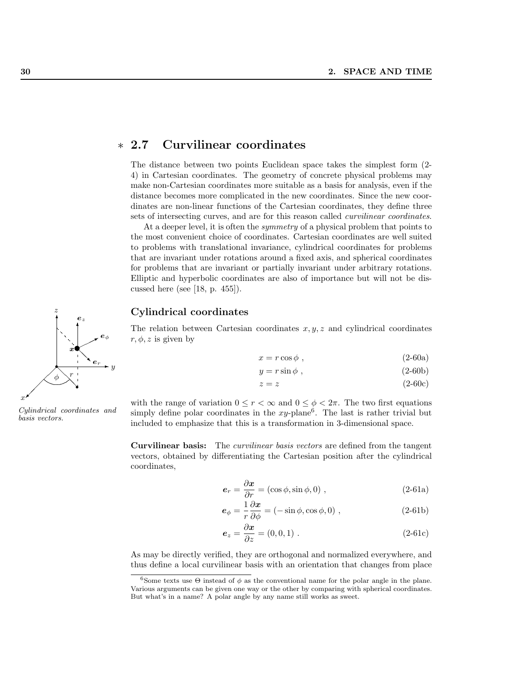# ∗ 2.7 Curvilinear coordinates

The distance between two points Euclidean space takes the simplest form (2- 4) in Cartesian coordinates. The geometry of concrete physical problems may make non-Cartesian coordinates more suitable as a basis for analysis, even if the distance becomes more complicated in the new coordinates. Since the new coordinates are non-linear functions of the Cartesian coordinates, they define three sets of intersecting curves, and are for this reason called curvilinear coordinates.

At a deeper level, it is often the *symmetry* of a physical problem that points to the most convenient choice of coordinates. Cartesian coordinates are well suited to problems with translational invariance, cylindrical coordinates for problems that are invariant under rotations around a fixed axis, and spherical coordinates for problems that are invariant or partially invariant under arbitrary rotations. Elliptic and hyperbolic coordinates are also of importance but will not be discussed here (see [18, p. 455]).

## Cylindrical coordinates

The relation between Cartesian coordinates  $x, y, z$  and cylindrical coordinates  $r, \phi, z$  is given by

$$
x = r \cos \phi , \qquad (2-60a)
$$

$$
y = r\sin\phi , \qquad (2-60b)
$$

$$
z = z \tag{2-60c}
$$

with the range of variation  $0 \leq r < \infty$  and  $0 \leq \phi < 2\pi$ . The two first equations basis vectors. simply define polar coordinates in the xy-plane<sup>6</sup> . The last is rather trivial but included to emphasize that this is a transformation in 3-dimensional space.

> Curvilinear basis: The curvilinear basis vectors are defined from the tangent vectors, obtained by differentiating the Cartesian position after the cylindrical coordinates,

$$
\mathbf{e}_r = \frac{\partial \mathbf{x}}{\partial r} = (\cos \phi, \sin \phi, 0) , \qquad (2-61a)
$$

$$
\mathbf{e}_{\phi} = \frac{1}{r} \frac{\partial \mathbf{x}}{\partial \phi} = (-\sin \phi, \cos \phi, 0) , \qquad (2-61b)
$$

$$
\boldsymbol{e}_z = \frac{\partial \boldsymbol{x}}{\partial z} = (0, 0, 1) \tag{2-61c}
$$

As may be directly verified, they are orthogonal and normalized everywhere, and thus define a local curvilinear basis with an orientation that changes from place



Cylindrical coordinates and

<sup>&</sup>lt;sup>6</sup>Some texts use  $\Theta$  instead of  $\phi$  as the conventional name for the polar angle in the plane. Various arguments can be given one way or the other by comparing with spherical coordinates. But what's in a name? A polar angle by any name still works as sweet.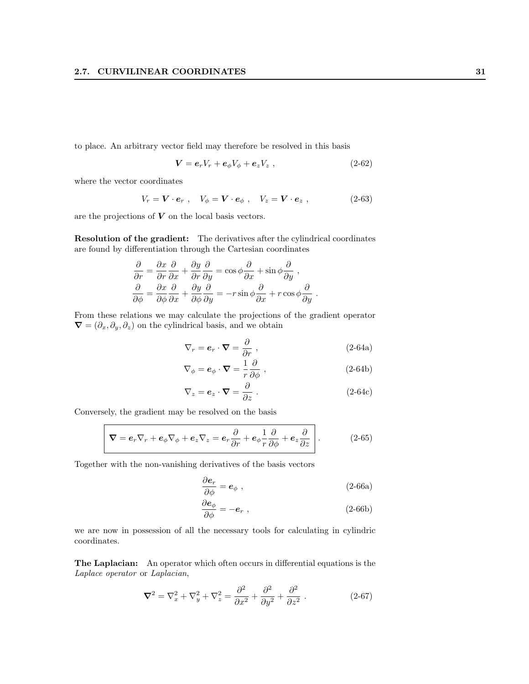to place. An arbitrary vector field may therefore be resolved in this basis

$$
\mathbf{V} = \boldsymbol{e}_r V_r + \boldsymbol{e}_\phi V_\phi + \boldsymbol{e}_z V_z \ , \qquad (2-62)
$$

where the vector coordinates

$$
V_r = \mathbf{V} \cdot \mathbf{e}_r \ , \quad V_\phi = \mathbf{V} \cdot \mathbf{e}_\phi \ , \quad V_z = \mathbf{V} \cdot \mathbf{e}_z \ , \tag{2-63}
$$

are the projections of  $V$  on the local basis vectors.

Resolution of the gradient: The derivatives after the cylindrical coordinates are found by differentiation through the Cartesian coordinates

$$
\frac{\partial}{\partial r} = \frac{\partial x}{\partial r}\frac{\partial}{\partial x} + \frac{\partial y}{\partial r}\frac{\partial}{\partial y} = \cos\phi\frac{\partial}{\partial x} + \sin\phi\frac{\partial}{\partial y},
$$
  

$$
\frac{\partial}{\partial \phi} = \frac{\partial x}{\partial \phi}\frac{\partial}{\partial x} + \frac{\partial y}{\partial \phi}\frac{\partial}{\partial y} = -r\sin\phi\frac{\partial}{\partial x} + r\cos\phi\frac{\partial}{\partial y}.
$$

From these relations we may calculate the projections of the gradient operator  $\nabla = (\partial_x, \partial_y, \partial_z)$  on the cylindrical basis, and we obtain

$$
\nabla_r = \boldsymbol{e}_r \cdot \boldsymbol{\nabla} = \frac{\partial}{\partial r} \,, \tag{2-64a}
$$

$$
\nabla_{\phi} = \boldsymbol{e}_{\phi} \cdot \boldsymbol{\nabla} = \frac{1}{r} \frac{\partial}{\partial \phi} , \qquad (2-64b)
$$

$$
\nabla_z = \boldsymbol{e}_z \cdot \boldsymbol{\nabla} = \frac{\partial}{\partial z} \ . \tag{2-64c}
$$

Conversely, the gradient may be resolved on the basis

$$
\nabla = e_r \nabla_r + e_\phi \nabla_\phi + e_z \nabla_z = e_r \frac{\partial}{\partial r} + e_\phi \frac{1}{r} \frac{\partial}{\partial \phi} + e_z \frac{\partial}{\partial z} \qquad (2-65)
$$

Together with the non-vanishing derivatives of the basis vectors

$$
\frac{\partial \mathbf{e}_r}{\partial \phi} = \mathbf{e}_{\phi} \tag{2-66a}
$$

$$
\frac{\partial \mathbf{e}_{\phi}}{\partial \phi} = -\mathbf{e}_r , \qquad (2-66b)
$$

we are now in possession of all the necessary tools for calculating in cylindric coordinates.

The Laplacian: An operator which often occurs in differential equations is the Laplace operator or Laplacian,

$$
\nabla^2 = \nabla_x^2 + \nabla_y^2 + \nabla_z^2 = \frac{\partial^2}{\partial x^2} + \frac{\partial^2}{\partial y^2} + \frac{\partial^2}{\partial z^2}.
$$
 (2-67)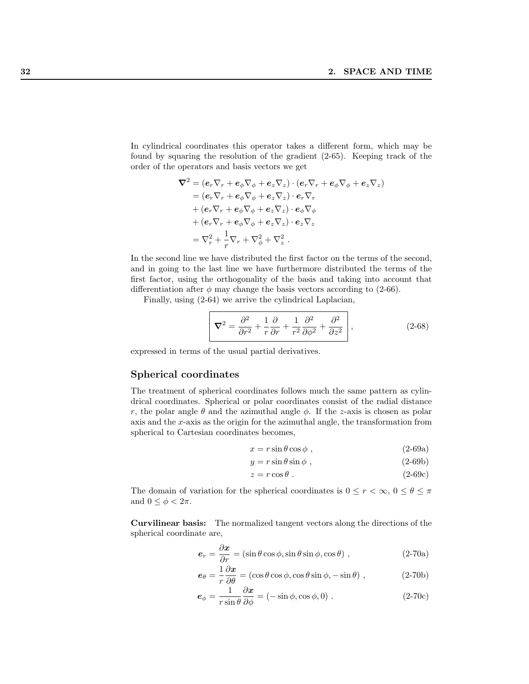In cylindrical coordinates this operator takes a different form, which may be found by squaring the resolution of the gradient (2-65). Keeping track of the order of the operators and basis vectors we get

$$
\nabla^2 = (e_r \nabla_r + e_\phi \nabla_\phi + e_z \nabla_z) \cdot (e_r \nabla_r + e_\phi \nabla_\phi + e_z \nabla_z)
$$
  
=  $(e_r \nabla_r + e_\phi \nabla_\phi + e_z \nabla_z) \cdot e_r \nabla_r$   
+  $(e_r \nabla_r + e_\phi \nabla_\phi + e_z \nabla_z) \cdot e_\phi \nabla_\phi$   
+  $(e_r \nabla_r + e_\phi \nabla_\phi + e_z \nabla_z) \cdot e_z \nabla_z$   
=  $\nabla_r^2 + \frac{1}{r} \nabla_r + \nabla_\phi^2 + \nabla_z^2$ .

In the second line we have distributed the first factor on the terms of the second, and in going to the last line we have furthermore distributed the terms of the first factor, using the orthogonality of the basis and taking into account that differentiation after  $\phi$  may change the basis vectors according to (2-66).

Finally, using (2-64) we arrive the cylindrical Laplacian,

$$
\nabla^2 = \frac{\partial^2}{\partial r^2} + \frac{1}{r} \frac{\partial}{\partial r} + \frac{1}{r^2} \frac{\partial^2}{\partial \phi^2} + \frac{\partial^2}{\partial z^2} \Bigg|, \qquad (2-68)
$$

expressed in terms of the usual partial derivatives.

#### Spherical coordinates

The treatment of spherical coordinates follows much the same pattern as cylindrical coordinates. Spherical or polar coordinates consist of the radial distance r, the polar angle  $\theta$  and the azimuthal angle  $\phi$ . If the z-axis is chosen as polar axis and the x-axis as the origin for the azimuthal angle, the transformation from spherical to Cartesian coordinates becomes,

$$
x = r\sin\theta\cos\phi \tag{2-69a}
$$

$$
y = r\sin\theta\sin\phi , \qquad (2-69b)
$$

 $z = r \cos \theta$ . (2-69c)

The domain of variation for the spherical coordinates is  $0 \le r < \infty$ ,  $0 \le \theta \le \pi$ and  $0 \leq \phi < 2\pi$ .

Curvilinear basis: The normalized tangent vectors along the directions of the spherical coordinate are,

$$
\mathbf{e}_r = \frac{\partial \mathbf{x}}{\partial r} = (\sin \theta \cos \phi, \sin \theta \sin \phi, \cos \theta) , \qquad (2-70a)
$$

$$
\mathbf{e}_{\theta} = \frac{1}{r} \frac{\partial \mathbf{x}}{\partial \theta} = (\cos \theta \cos \phi, \cos \theta \sin \phi, -\sin \theta) , \qquad (2\text{-}70b)
$$

$$
\boldsymbol{e}_{\phi} = \frac{1}{r \sin \theta} \frac{\partial \boldsymbol{x}}{\partial \phi} = (-\sin \phi, \cos \phi, 0) . \qquad (2\text{-}70c)
$$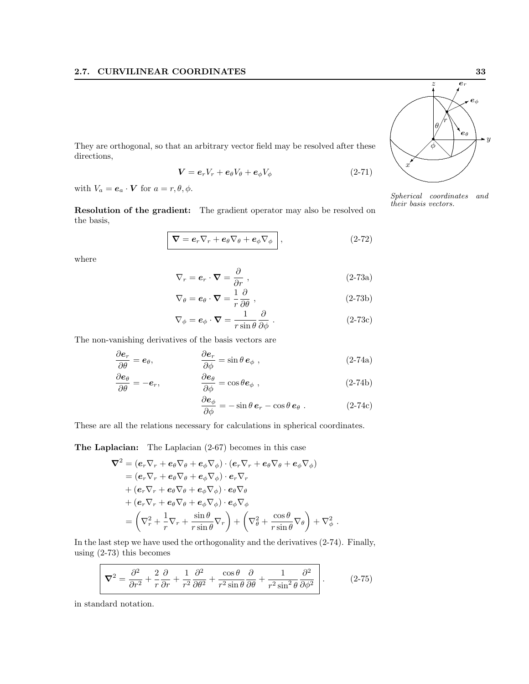They are orthogonal, so that an arbitrary vector field may be resolved after these directions,

$$
\mathbf{V} = \boldsymbol{e}_r V_r + \boldsymbol{e}_\theta V_\theta + \boldsymbol{e}_\phi V_\phi \tag{2-71}
$$

with  $V_a = e_a \cdot V$  for  $a = r, \theta, \phi$ .

Resolution of the gradient: The gradient operator may also be resolved on the basis,

$$
\boldsymbol{\nabla} = \boldsymbol{e}_r \nabla_r + \boldsymbol{e}_\theta \nabla_\theta + \boldsymbol{e}_\phi \nabla_\phi \,, \tag{2-72}
$$

where

$$
\nabla_r = \boldsymbol{e}_r \cdot \boldsymbol{\nabla} = \frac{\partial}{\partial r} \,, \tag{2-73a}
$$

$$
\nabla_{\theta} = \boldsymbol{e}_{\theta} \cdot \boldsymbol{\nabla} = \frac{1}{r} \frac{\partial}{\partial \theta} , \qquad (2-73b)
$$

$$
\nabla_{\phi} = \boldsymbol{e}_{\phi} \cdot \boldsymbol{\nabla} = \frac{1}{r \sin \theta} \frac{\partial}{\partial \phi} . \qquad (2-73c)
$$

The non-vanishing derivatives of the basis vectors are

$$
\frac{\partial \mathbf{e}_r}{\partial \theta} = \mathbf{e}_{\theta}, \qquad \frac{\partial \mathbf{e}_r}{\partial \phi} = \sin \theta \, \mathbf{e}_{\phi} \;, \tag{2-74a}
$$

$$
\frac{\partial e_{\theta}}{\partial \theta} = -e_r, \qquad \frac{\partial e_{\theta}}{\partial \phi} = \cos \theta e_{\phi} , \qquad (2-74b)
$$

$$
\frac{\partial e_{\phi}}{\partial \phi} = -\sin \theta \, e_r - \cos \theta \, e_{\theta} \,. \tag{2-74c}
$$

These are all the relations necessary for calculations in spherical coordinates.

The Laplacian: The Laplacian (2-67) becomes in this case

$$
\nabla^2 = (e_r \nabla_r + e_\theta \nabla_\theta + e_\phi \nabla_\phi) \cdot (e_r \nabla_r + e_\theta \nabla_\theta + e_\phi \nabla_\phi)
$$
  
\n
$$
= (e_r \nabla_r + e_\theta \nabla_\theta + e_\phi \nabla_\phi) \cdot e_r \nabla_r
$$
  
\n
$$
+ (e_r \nabla_r + e_\theta \nabla_\theta + e_\phi \nabla_\phi) \cdot e_\theta \nabla_\theta
$$
  
\n
$$
+ (e_r \nabla_r + e_\theta \nabla_\theta + e_\phi \nabla_\phi) \cdot e_\phi \nabla_\phi
$$
  
\n
$$
= \left( \nabla_r^2 + \frac{1}{r} \nabla_r + \frac{\sin \theta}{r \sin \theta} \nabla_r \right) + \left( \nabla_\theta^2 + \frac{\cos \theta}{r \sin \theta} \nabla_\theta \right) + \nabla_\phi^2.
$$

In the last step we have used the orthogonality and the derivatives (2-74). Finally, using (2-73) this becomes

$$
\nabla^2 = \frac{\partial^2}{\partial r^2} + \frac{2}{r} \frac{\partial}{\partial r} + \frac{1}{r^2} \frac{\partial^2}{\partial \theta^2} + \frac{\cos \theta}{r^2 \sin \theta} \frac{\partial}{\partial \theta} + \frac{1}{r^2 \sin^2 \theta} \frac{\partial^2}{\partial \phi^2} \Bigg| . \tag{2-75}
$$

in standard notation.

....................................................................  $\boldsymbol{v}$  $\sqrt{q}$  $\angle$ x ¡✠ ..  $\swarrow\quad \searrow$ ❅  $\searrow$ φ

Spherical coordinates and their basis vectors.

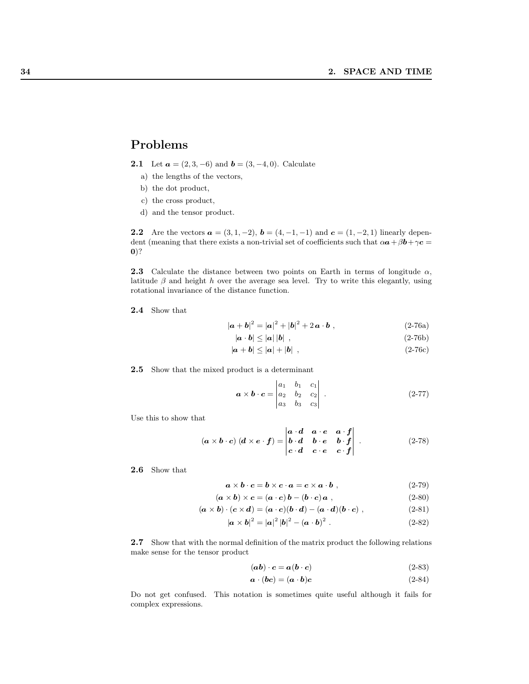# Problems

- 2.1 Let  $a = (2, 3, -6)$  and  $b = (3, -4, 0)$ . Calculate
	- a) the lengths of the vectors,
	- b) the dot product,
	- c) the cross product,
	- d) and the tensor product.

**2.2** Are the vectors  $a = (3, 1, -2)$ ,  $b = (4, -1, -1)$  and  $c = (1, -2, 1)$  linearly dependent (meaning that there exists a non-trivial set of coefficients such that  $\alpha a + \beta b + \gamma c =$ 0)?

2.3 Calculate the distance between two points on Earth in terms of longitude  $\alpha$ , latitude  $\beta$  and height h over the average sea level. Try to write this elegantly, using rotational invariance of the distance function.

2.4 Show that

$$
|\mathbf{a} + \mathbf{b}|^2 = |\mathbf{a}|^2 + |\mathbf{b}|^2 + 2 \mathbf{a} \cdot \mathbf{b} , \qquad (2-76a)
$$

$$
|\mathbf{a} \cdot \mathbf{b}| \le |\mathbf{a}| \, |\mathbf{b}| \quad , \tag{2-76b}
$$

$$
|\boldsymbol{a} + \boldsymbol{b}| \le |\boldsymbol{a}| + |\boldsymbol{b}| \tag{2-76c}
$$

2.5 Show that the mixed product is a determinant

$$
\mathbf{a} \times \mathbf{b} \cdot \mathbf{c} = \begin{vmatrix} a_1 & b_1 & c_1 \\ a_2 & b_2 & c_2 \\ a_3 & b_3 & c_3 \end{vmatrix} . \tag{2-77}
$$

Use this to show that

$$
(\mathbf{a} \times \mathbf{b} \cdot \mathbf{c}) (\mathbf{d} \times \mathbf{e} \cdot \mathbf{f}) = \begin{vmatrix} \mathbf{a} \cdot \mathbf{d} & \mathbf{a} \cdot \mathbf{e} & \mathbf{a} \cdot \mathbf{f} \\ \mathbf{b} \cdot \mathbf{d} & \mathbf{b} \cdot \mathbf{e} & \mathbf{b} \cdot \mathbf{f} \\ \mathbf{c} \cdot \mathbf{d} & \mathbf{c} \cdot \mathbf{e} & \mathbf{c} \cdot \mathbf{f} \end{vmatrix} . \tag{2-78}
$$

#### 2.6 Show that

$$
\mathbf{a} \times \mathbf{b} \cdot \mathbf{c} = \mathbf{b} \times \mathbf{c} \cdot \mathbf{a} = \mathbf{c} \times \mathbf{a} \cdot \mathbf{b} \tag{2-79}
$$

$$
(\mathbf{a} \times \mathbf{b}) \times \mathbf{c} = (\mathbf{a} \cdot \mathbf{c}) \mathbf{b} - (\mathbf{b} \cdot \mathbf{c}) \mathbf{a} \tag{2-80}
$$

$$
(\mathbf{a} \times \mathbf{b}) \cdot (\mathbf{c} \times \mathbf{d}) = (\mathbf{a} \cdot \mathbf{c})(\mathbf{b} \cdot \mathbf{d}) - (\mathbf{a} \cdot \mathbf{d})(\mathbf{b} \cdot \mathbf{c}) , \qquad (2-81)
$$

$$
|\mathbf{a} \times \mathbf{b}|^2 = |\mathbf{a}|^2 |\mathbf{b}|^2 - (\mathbf{a} \cdot \mathbf{b})^2.
$$
 (2-82)

2.7 Show that with the normal definition of the matrix product the following relations make sense for the tensor product

$$
(\mathbf{a}\mathbf{b}) \cdot \mathbf{c} = \mathbf{a}(\mathbf{b} \cdot \mathbf{c}) \tag{2-83}
$$

$$
\mathbf{a} \cdot (\mathbf{b}\mathbf{c}) = (\mathbf{a} \cdot \mathbf{b})\mathbf{c} \tag{2-84}
$$

Do not get confused. This notation is sometimes quite useful although it fails for complex expressions.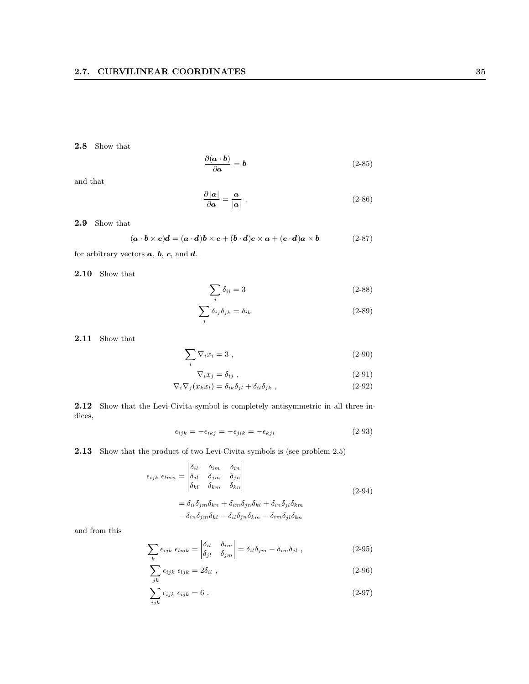2.8 Show that

$$
\frac{\partial(\mathbf{a} \cdot \mathbf{b})}{\partial \mathbf{a}} = \mathbf{b} \tag{2-85}
$$

and that

$$
\frac{\partial |\mathbf{a}|}{\partial \mathbf{a}} = \frac{\mathbf{a}}{|\mathbf{a}|} \tag{2-86}
$$

2.9 Show that

$$
(\mathbf{a} \cdot \mathbf{b} \times \mathbf{c})\mathbf{d} = (\mathbf{a} \cdot \mathbf{d})\mathbf{b} \times \mathbf{c} + (\mathbf{b} \cdot \mathbf{d})\mathbf{c} \times \mathbf{a} + (\mathbf{c} \cdot \mathbf{d})\mathbf{a} \times \mathbf{b}
$$
 (2-87)

for arbitrary vectors  $a, b, c$ , and  $d$ .

2.10 Show that

$$
\sum_{i} \delta_{ii} = 3 \tag{2-88}
$$

$$
\sum_{j} \delta_{ij} \delta_{jk} = \delta_{ik} \tag{2-89}
$$

2.11 Show that

$$
\sum_{i} \nabla_i x_i = 3 \tag{2-90}
$$

$$
\nabla_i x_j = \delta_{ij} \t{,} \t(2-91)
$$

$$
\nabla_i \nabla_j (x_k x_l) = \delta_{ik} \delta_{jl} + \delta_{il} \delta_{jk} , \qquad (2-92)
$$

2.12 Show that the Levi-Civita symbol is completely antisymmetric in all three indices,

$$
\epsilon_{ijk} = -\epsilon_{ikj} = -\epsilon_{jik} = -\epsilon_{kji} \tag{2-93}
$$

2.13 Show that the product of two Levi-Civita symbols is (see problem 2.5)

$$
\epsilon_{ijk} \epsilon_{lmn} = \begin{vmatrix} \delta_{il} & \delta_{im} & \delta_{in} \\ \delta_{jl} & \delta_{jm} & \delta_{jn} \\ \delta_{kl} & \delta_{km} & \delta_{kn} \end{vmatrix}
$$
  
=  $\delta_{il}\delta_{jm}\delta_{kn} + \delta_{im}\delta_{jn}\delta_{kl} + \delta_{in}\delta_{jl}\delta_{km}$   
-  $\delta_{in}\delta_{jm}\delta_{kl} - \delta_{il}\delta_{jn}\delta_{km} - \delta_{im}\delta_{jl}\delta_{kn}$  (2-94)

and from this

$$
\sum_{k} \epsilon_{ijk} \epsilon_{lmk} = \begin{vmatrix} \delta_{il} & \delta_{im} \\ \delta_{jl} & \delta_{jm} \end{vmatrix} = \delta_{il}\delta_{jm} - \delta_{im}\delta_{jl} , \qquad (2-95)
$$

$$
\sum_{jk} \epsilon_{ijk} \epsilon_{ljk} = 2\delta_{il} , \qquad (2-96)
$$

$$
\sum_{ijk} \epsilon_{ijk} \epsilon_{ijk} = 6 \tag{2-97}
$$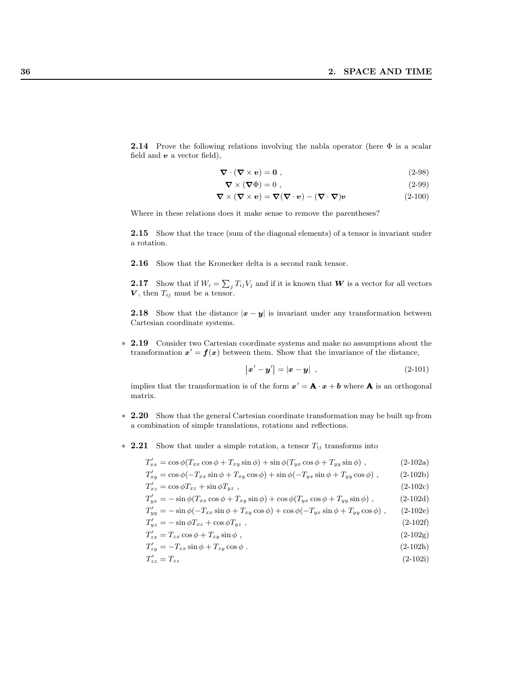**2.14** Prove the following relations involving the nabla operator (here  $\Phi$  is a scalar field and  $v$  a vector field),

$$
\nabla \cdot (\nabla \times \mathbf{v}) = \mathbf{0} \tag{2-98}
$$

$$
\nabla \times (\nabla \Phi) = 0 , \qquad (2-99)
$$

$$
\nabla \times (\nabla \times v) = \nabla (\nabla \cdot v) - (\nabla \cdot \nabla)v \qquad (2-100)
$$

Where in these relations does it make sense to remove the parentheses?

2.15 Show that the trace (sum of the diagonal elements) of a tensor is invariant under a rotation.

2.16 Show that the Kronecker delta is a second rank tensor.

**2.17** Show that if  $W_i = \sum_j T_{ij} V_j$  and if it is known that **W** is a vector for all vectors  $V$ , then  $T_{ij}$  must be a tensor.

2.18 Show that the distance  $|x - y|$  is invariant under any transformation between Cartesian coordinate systems.

∗ 2.19 Consider two Cartesian coordinate systems and make no assumptions about the transformation  $x' = f(x)$  between them. Show that the invariance of the distance,

$$
|\mathbf{x}' - \mathbf{y}'| = |\mathbf{x} - \mathbf{y}| \tag{2-101}
$$

implies that the transformation is of the form  $x' = \mathbf{A} \cdot x + \mathbf{b}$  where  $\mathbf{A}$  is an orthogonal matrix.

- ∗ 2.20 Show that the general Cartesian coordinate transformation may be built up from a combination of simple translations, rotations and reflections.
- **\* 2.21** Show that under a simple rotation, a tensor  $T_{ij}$  transforms into

$$
T'_{xx} = \cos\phi (T_{xx}\cos\phi + T_{xy}\sin\phi) + \sin\phi (T_{yx}\cos\phi + T_{yy}\sin\phi) ,
$$
\n
$$
T'_{xy} = \cos\phi (-T_{xx}\sin\phi + T_{xy}\cos\phi) + \sin\phi (-T_{yx}\sin\phi + T_{yy}\cos\phi) ,
$$
\n
$$
T'_{xz} = \cos\phi T_{xz} + \sin\phi T_{yz} ,
$$
\n
$$
T'_{yx} = -\sin\phi (T_{xx}\cos\phi + T_{xy}\sin\phi) + \cos\phi (T_{yx}\cos\phi + T_{yy}\sin\phi) ,
$$
\n
$$
T'_{yy} = -\sin\phi (-T_{xx}\sin\phi + T_{xy}\cos\phi) + \cos\phi (-T_{yx}\sin\phi + T_{yy}\cos\phi) ,
$$
\n
$$
T'_{yz} = -\sin\phi T_{xz} + \cos\phi T_{yz} ,
$$
\n
$$
T'_{zx} = T_{zx}\cos\phi + T_{zy}\sin\phi ,
$$
\n
$$
T'_{zy} = -T_{zx}\sin\phi + T_{zy}\cos\phi .
$$
\n
$$
T'_{zz} = T_{zz} \cos\phi + T_{zy}\cos\phi .
$$
\n(2-102h)  
\n
$$
T'_{zz} = T_{zz} \sin\phi + T_{zy}\cos\phi .
$$
\n(2-102i)